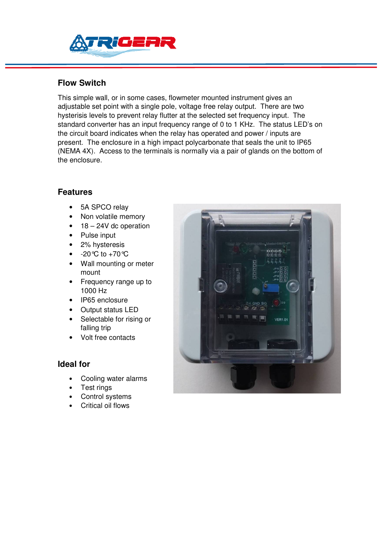

## **Flow Switch**

This simple wall, or in some cases, flowmeter mounted instrument gives an adjustable set point with a single pole, voltage free relay output. There are two hysterisis levels to prevent relay flutter at the selected set frequency input. The standard converter has an input frequency range of 0 to 1 KHz. The status LED's on the circuit board indicates when the relay has operated and power / inputs are present. The enclosure in a high impact polycarbonate that seals the unit to IP65 (NEMA 4X). Access to the terminals is normally via a pair of glands on the bottom of the enclosure.

## **Features**

- 5A SPCO relay
- Non volatile memory
- $18 24V$  dc operation
- Pulse input
- 2% hysteresis
- $-20^{\circ}$ C to  $+70^{\circ}$ C
- Wall mounting or meter mount
- Frequency range up to 1000 Hz
- IP65 enclosure
- Output status LED
- Selectable for rising or falling trip
- Volt free contacts

#### **Ideal for**

- Cooling water alarms
- Test rings
- Control systems
- Critical oil flows